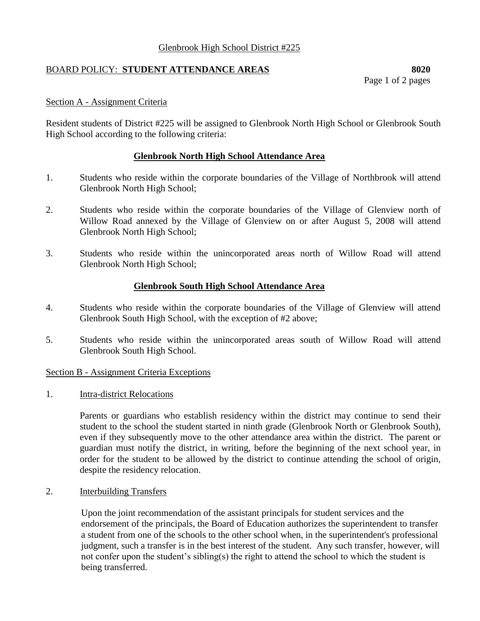# Glenbrook High School District #225

# BOARD POLICY: **STUDENT ATTENDANCE AREAS 8020**

Page 1 of 2 pages

## Section A - Assignment Criteria

Resident students of District #225 will be assigned to Glenbrook North High School or Glenbrook South High School according to the following criteria:

## **Glenbrook North High School Attendance Area**

- 1. Students who reside within the corporate boundaries of the Village of Northbrook will attend Glenbrook North High School;
- 2. Students who reside within the corporate boundaries of the Village of Glenview north of Willow Road annexed by the Village of Glenview on or after August 5, 2008 will attend Glenbrook North High School;
- 3. Students who reside within the unincorporated areas north of Willow Road will attend Glenbrook North High School;

## **Glenbrook South High School Attendance Area**

- 4. Students who reside within the corporate boundaries of the Village of Glenview will attend Glenbrook South High School, with the exception of #2 above;
- 5. Students who reside within the unincorporated areas south of Willow Road will attend Glenbrook South High School.

### Section B - Assignment Criteria Exceptions

1. Intra-district Relocations

Parents or guardians who establish residency within the district may continue to send their student to the school the student started in ninth grade (Glenbrook North or Glenbrook South), even if they subsequently move to the other attendance area within the district. The parent or guardian must notify the district, in writing, before the beginning of the next school year, in order for the student to be allowed by the district to continue attending the school of origin, despite the residency relocation.

2. Interbuilding Transfers

Upon the joint recommendation of the assistant principals for student services and the endorsement of the principals, the Board of Education authorizes the superintendent to transfer a student from one of the schools to the other school when, in the superintendent's professional judgment, such a transfer is in the best interest of the student. Any such transfer, however, will not confer upon the student's sibling(s) the right to attend the school to which the student is being transferred.